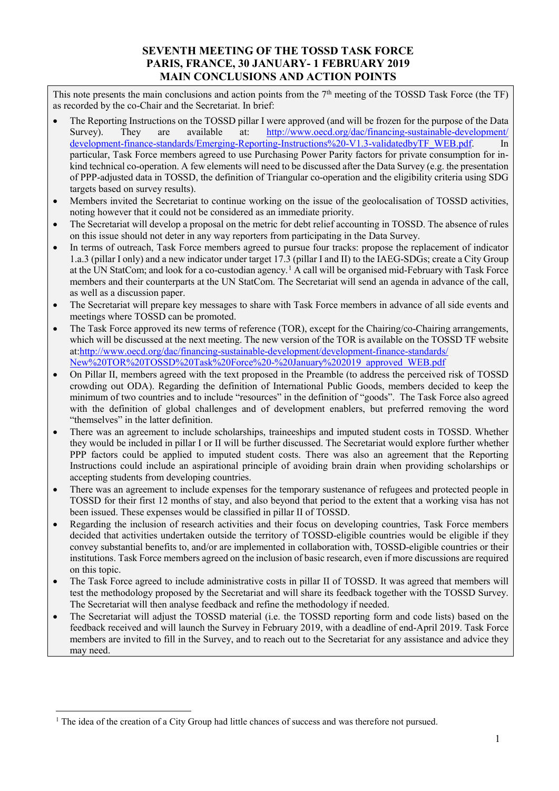## **SEVENTH MEETING OF THE TOSSD TASK FORCE PARIS, FRANCE, 30 JANUARY- 1 FEBRUARY 2019 MAIN CONCLUSIONS AND ACTION POINTS**

This note presents the main conclusions and action points from the  $7<sup>th</sup>$  meeting of the TOSSD Task Force (the TF) as recorded by the co-Chair and the Secretariat. In brief:

- The Reporting Instructions on the TOSSD pillar I were approved (and will be frozen for the purpose of the Data Survey). They are available at: [http://www.oecd.org/dac/financing-sustainable-development/](http://www.oecd.org/dac/financing-sustainable-development/development-finance-standards/Emerging-Reporting-Instructions%20-V1.3-validatedbyTF_WEB.pdf) [development-finance-standards/Emerging-Reporting-Instructions%20-V1.3-validatedbyTF\\_WEB.pdf.](http://www.oecd.org/dac/financing-sustainable-development/development-finance-standards/Emerging-Reporting-Instructions%20-V1.3-validatedbyTF_WEB.pdf) In particular, Task Force members agreed to use Purchasing Power Parity factors for private consumption for inkind technical co-operation. A few elements will need to be discussed after the Data Survey (e.g. the presentation of PPP-adjusted data in TOSSD, the definition of Triangular co-operation and the eligibility criteria using SDG targets based on survey results).
- Members invited the Secretariat to continue working on the issue of the geolocalisation of TOSSD activities, noting however that it could not be considered as an immediate priority.
- The Secretariat will develop a proposal on the metric for debt relief accounting in TOSSD. The absence of rules on this issue should not deter in any way reporters from participating in the Data Survey.
- In terms of outreach, Task Force members agreed to pursue four tracks: propose the replacement of indicator 1.a.3 (pillar I only) and a new indicator under target 17.3 (pillar I and II) to the IAEG-SDGs; create a City Group at the UN StatCom; and look for a co-custodian agency.[1](#page-0-0) A call will be organised mid-February with Task Force members and their counterparts at the UN StatCom. The Secretariat will send an agenda in advance of the call, as well as a discussion paper.
- The Secretariat will prepare key messages to share with Task Force members in advance of all side events and meetings where TOSSD can be promoted.
- The Task Force approved its new terms of reference (TOR), except for the Chairing/co-Chairing arrangements, which will be discussed at the next meeting. The new version of the TOR is available on the TOSSD TF website at[:http://www.oecd.org/dac/financing-sustainable-development/development-finance-standards/](http://www.oecd.org/dac/financing-sustainable-development/development-finance-standards/New%20TOR%20TOSSD%20Task%20Force%20-%20January%202019_approved_WEB.pdf) [New%20TOR%20TOSSD%20Task%20Force%20-%20January%202019\\_approved\\_WEB.pdf](http://www.oecd.org/dac/financing-sustainable-development/development-finance-standards/New%20TOR%20TOSSD%20Task%20Force%20-%20January%202019_approved_WEB.pdf)
- On Pillar II, members agreed with the text proposed in the Preamble (to address the perceived risk of TOSSD crowding out ODA). Regarding the definition of International Public Goods, members decided to keep the minimum of two countries and to include "resources" in the definition of "goods". The Task Force also agreed with the definition of global challenges and of development enablers, but preferred removing the word "themselves" in the latter definition.
- There was an agreement to include scholarships, traineeships and imputed student costs in TOSSD. Whether they would be included in pillar I or II will be further discussed. The Secretariat would explore further whether PPP factors could be applied to imputed student costs. There was also an agreement that the Reporting Instructions could include an aspirational principle of avoiding brain drain when providing scholarships or accepting students from developing countries.
- There was an agreement to include expenses for the temporary sustenance of refugees and protected people in TOSSD for their first 12 months of stay, and also beyond that period to the extent that a working visa has not been issued. These expenses would be classified in pillar II of TOSSD.
- Regarding the inclusion of research activities and their focus on developing countries, Task Force members decided that activities undertaken outside the territory of TOSSD-eligible countries would be eligible if they convey substantial benefits to, and/or are implemented in collaboration with, TOSSD-eligible countries or their institutions. Task Force members agreed on the inclusion of basic research, even if more discussions are required on this topic.
- The Task Force agreed to include administrative costs in pillar II of TOSSD. It was agreed that members will test the methodology proposed by the Secretariat and will share its feedback together with the TOSSD Survey. The Secretariat will then analyse feedback and refine the methodology if needed.
- The Secretariat will adjust the TOSSD material (i.e. the TOSSD reporting form and code lists) based on the feedback received and will launch the Survey in February 2019, with a deadline of end-April 2019. Task Force members are invited to fill in the Survey, and to reach out to the Secretariat for any assistance and advice they may need.

<span id="page-0-0"></span><sup>&</sup>lt;sup>1</sup> The idea of the creation of a City Group had little chances of success and was therefore not pursued.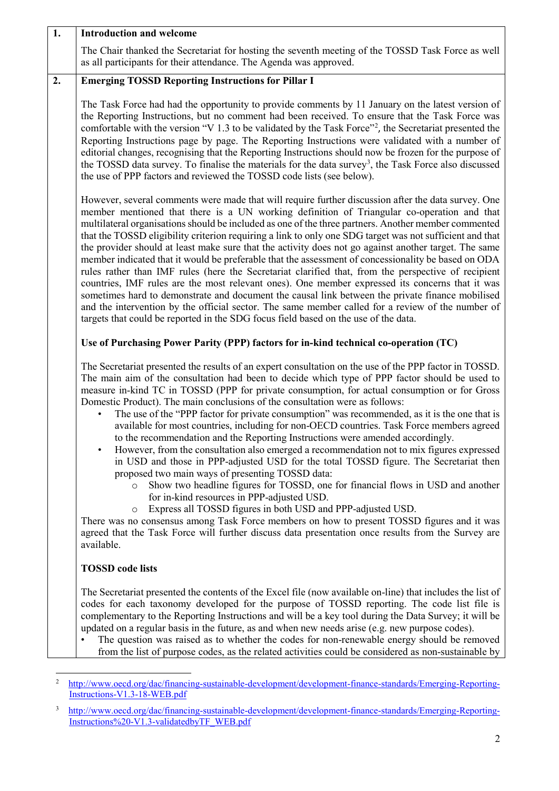| $\overline{1}$ . | <b>Introduction and welcome</b>                                                                                                                                                                                                                                                                                                                                                                                                                                                                                                                                                                                                                                                                                                                                                                                                                                                                                                                                                                                                                                                                                                                                                                                                                                                                                                                             |
|------------------|-------------------------------------------------------------------------------------------------------------------------------------------------------------------------------------------------------------------------------------------------------------------------------------------------------------------------------------------------------------------------------------------------------------------------------------------------------------------------------------------------------------------------------------------------------------------------------------------------------------------------------------------------------------------------------------------------------------------------------------------------------------------------------------------------------------------------------------------------------------------------------------------------------------------------------------------------------------------------------------------------------------------------------------------------------------------------------------------------------------------------------------------------------------------------------------------------------------------------------------------------------------------------------------------------------------------------------------------------------------|
|                  | The Chair thanked the Secretariat for hosting the seventh meeting of the TOSSD Task Force as well<br>as all participants for their attendance. The Agenda was approved.                                                                                                                                                                                                                                                                                                                                                                                                                                                                                                                                                                                                                                                                                                                                                                                                                                                                                                                                                                                                                                                                                                                                                                                     |
| 2.               | <b>Emerging TOSSD Reporting Instructions for Pillar I</b>                                                                                                                                                                                                                                                                                                                                                                                                                                                                                                                                                                                                                                                                                                                                                                                                                                                                                                                                                                                                                                                                                                                                                                                                                                                                                                   |
|                  | The Task Force had had the opportunity to provide comments by 11 January on the latest version of<br>the Reporting Instructions, but no comment had been received. To ensure that the Task Force was<br>comfortable with the version "V 1.3 to be validated by the Task Force" <sup>2</sup> , the Secretariat presented the<br>Reporting Instructions page by page. The Reporting Instructions were validated with a number of<br>editorial changes, recognising that the Reporting Instructions should now be frozen for the purpose of<br>the TOSSD data survey. To finalise the materials for the data survey <sup>3</sup> , the Task Force also discussed<br>the use of PPP factors and reviewed the TOSSD code lists (see below).                                                                                                                                                                                                                                                                                                                                                                                                                                                                                                                                                                                                                      |
|                  | However, several comments were made that will require further discussion after the data survey. One<br>member mentioned that there is a UN working definition of Triangular co-operation and that<br>multilateral organisations should be included as one of the three partners. Another member commented<br>that the TOSSD eligibility criterion requiring a link to only one SDG target was not sufficient and that<br>the provider should at least make sure that the activity does not go against another target. The same<br>member indicated that it would be preferable that the assessment of concessionality be based on ODA<br>rules rather than IMF rules (here the Secretariat clarified that, from the perspective of recipient<br>countries, IMF rules are the most relevant ones). One member expressed its concerns that it was<br>sometimes hard to demonstrate and document the causal link between the private finance mobilised<br>and the intervention by the official sector. The same member called for a review of the number of<br>targets that could be reported in the SDG focus field based on the use of the data.                                                                                                                                                                                                             |
|                  | Use of Purchasing Power Parity (PPP) factors for in-kind technical co-operation (TC)                                                                                                                                                                                                                                                                                                                                                                                                                                                                                                                                                                                                                                                                                                                                                                                                                                                                                                                                                                                                                                                                                                                                                                                                                                                                        |
|                  | The Secretariat presented the results of an expert consultation on the use of the PPP factor in TOSSD.<br>The main aim of the consultation had been to decide which type of PPP factor should be used to<br>measure in-kind TC in TOSSD (PPP for private consumption, for actual consumption or for Gross<br>Domestic Product). The main conclusions of the consultation were as follows:<br>The use of the "PPP factor for private consumption" was recommended, as it is the one that is<br>available for most countries, including for non-OECD countries. Task Force members agreed<br>to the recommendation and the Reporting Instructions were amended accordingly.<br>However, from the consultation also emerged a recommendation not to mix figures expressed<br>in USD and those in PPP-adjusted USD for the total TOSSD figure. The Secretariat then<br>proposed two main ways of presenting TOSSD data:<br>Show two headline figures for TOSSD, one for financial flows in USD and another<br>$\circ$<br>for in-kind resources in PPP-adjusted USD.<br>Express all TOSSD figures in both USD and PPP-adjusted USD.<br>$\circ$<br>There was no consensus among Task Force members on how to present TOSSD figures and it was<br>agreed that the Task Force will further discuss data presentation once results from the Survey are<br>available. |
|                  | <b>TOSSD</b> code lists                                                                                                                                                                                                                                                                                                                                                                                                                                                                                                                                                                                                                                                                                                                                                                                                                                                                                                                                                                                                                                                                                                                                                                                                                                                                                                                                     |
|                  | The Secretariat presented the contents of the Excel file (now available on-line) that includes the list of<br>codes for each taxonomy developed for the purpose of TOSSD reporting. The code list file is<br>complementary to the Reporting Instructions and will be a key tool during the Data Survey; it will be<br>updated on a regular basis in the future, as and when new needs arise (e.g. new purpose codes).<br>The question was raised as to whether the codes for non-renewable energy should be removed<br>from the list of purpose codes, as the related activities could be considered as non-sustainable by                                                                                                                                                                                                                                                                                                                                                                                                                                                                                                                                                                                                                                                                                                                                  |
|                  |                                                                                                                                                                                                                                                                                                                                                                                                                                                                                                                                                                                                                                                                                                                                                                                                                                                                                                                                                                                                                                                                                                                                                                                                                                                                                                                                                             |
| 2                | http://www.oecd.org/dac/financing-sustainable-development/development-finance-standards/Emerging-Reporting-<br>Instructions-V1.3-18-WEB.pdf                                                                                                                                                                                                                                                                                                                                                                                                                                                                                                                                                                                                                                                                                                                                                                                                                                                                                                                                                                                                                                                                                                                                                                                                                 |

<span id="page-1-1"></span><span id="page-1-0"></span><sup>&</sup>lt;sup>3</sup> [http://www.oecd.org/dac/financing-sustainable-development/development-finance-standards/Emerging-Reporting-](http://www.oecd.org/dac/financing-sustainable-development/development-finance-standards/Emerging-Reporting-Instructions%20-V1.3-validatedbyTF_WEB.pdf)[Instructions%20-V1.3-validatedbyTF\\_WEB.pdf](http://www.oecd.org/dac/financing-sustainable-development/development-finance-standards/Emerging-Reporting-Instructions%20-V1.3-validatedbyTF_WEB.pdf)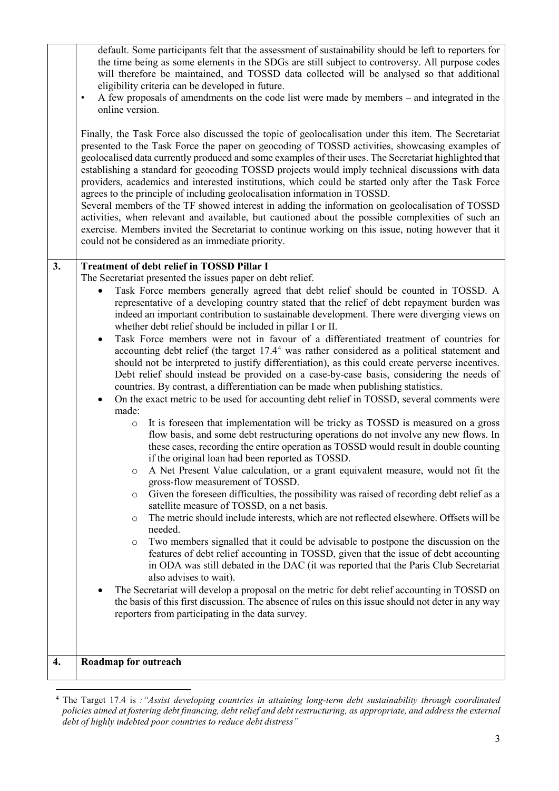| default. Some participants felt that the assessment of sustainability should be left to reporters for<br>the time being as some elements in the SDGs are still subject to controversy. All purpose codes<br>will therefore be maintained, and TOSSD data collected will be analysed so that additional<br>eligibility criteria can be developed in future.<br>A few proposals of amendments on the code list were made by members – and integrated in the<br>$\bullet$<br>online version.<br>Finally, the Task Force also discussed the topic of geolocalisation under this item. The Secretariat<br>presented to the Task Force the paper on geocoding of TOSSD activities, showcasing examples of<br>geolocalised data currently produced and some examples of their uses. The Secretariat highlighted that<br>establishing a standard for geocoding TOSSD projects would imply technical discussions with data<br>providers, academics and interested institutions, which could be started only after the Task Force<br>agrees to the principle of including geolocalisation information in TOSSD.<br>Several members of the TF showed interest in adding the information on geolocalisation of TOSSD<br>activities, when relevant and available, but cautioned about the possible complexities of such an<br>exercise. Members invited the Secretariat to continue working on this issue, noting however that it                                                                                                                                                                                                                                                                                                                                                                                                                                                                                                                                                                                                                                                                                                                                                                                                                                                                                                                                                                                  |
|-------------------------------------------------------------------------------------------------------------------------------------------------------------------------------------------------------------------------------------------------------------------------------------------------------------------------------------------------------------------------------------------------------------------------------------------------------------------------------------------------------------------------------------------------------------------------------------------------------------------------------------------------------------------------------------------------------------------------------------------------------------------------------------------------------------------------------------------------------------------------------------------------------------------------------------------------------------------------------------------------------------------------------------------------------------------------------------------------------------------------------------------------------------------------------------------------------------------------------------------------------------------------------------------------------------------------------------------------------------------------------------------------------------------------------------------------------------------------------------------------------------------------------------------------------------------------------------------------------------------------------------------------------------------------------------------------------------------------------------------------------------------------------------------------------------------------------------------------------------------------------------------------------------------------------------------------------------------------------------------------------------------------------------------------------------------------------------------------------------------------------------------------------------------------------------------------------------------------------------------------------------------------------------------------------------------------------------------------------------------------------------------------------|
| could not be considered as an immediate priority.                                                                                                                                                                                                                                                                                                                                                                                                                                                                                                                                                                                                                                                                                                                                                                                                                                                                                                                                                                                                                                                                                                                                                                                                                                                                                                                                                                                                                                                                                                                                                                                                                                                                                                                                                                                                                                                                                                                                                                                                                                                                                                                                                                                                                                                                                                                                                     |
| <b>Treatment of debt relief in TOSSD Pillar I</b><br>The Secretariat presented the issues paper on debt relief.<br>Task Force members generally agreed that debt relief should be counted in TOSSD. A<br>$\bullet$<br>representative of a developing country stated that the relief of debt repayment burden was<br>indeed an important contribution to sustainable development. There were diverging views on<br>whether debt relief should be included in pillar I or II.<br>Task Force members were not in favour of a differentiated treatment of countries for<br>$\bullet$<br>accounting debt relief (the target 17.4 <sup>4</sup> was rather considered as a political statement and<br>should not be interpreted to justify differentiation), as this could create perverse incentives.<br>Debt relief should instead be provided on a case-by-case basis, considering the needs of<br>countries. By contrast, a differentiation can be made when publishing statistics.<br>On the exact metric to be used for accounting debt relief in TOSSD, several comments were<br>$\bullet$<br>made:<br>It is foreseen that implementation will be tricky as TOSSD is measured on a gross<br>$\circ$<br>flow basis, and some debt restructuring operations do not involve any new flows. In<br>these cases, recording the entire operation as TOSSD would result in double counting<br>if the original loan had been reported as TOSSD.<br>A Net Present Value calculation, or a grant equivalent measure, would not fit the<br>O<br>gross-flow measurement of TOSSD.<br>Given the foreseen difficulties, the possibility was raised of recording debt relief as a<br>O<br>satellite measure of TOSSD, on a net basis.<br>The metric should include interests, which are not reflected elsewhere. Offsets will be<br>$\circ$<br>needed.<br>Two members signalled that it could be advisable to postpone the discussion on the<br>O<br>features of debt relief accounting in TOSSD, given that the issue of debt accounting<br>in ODA was still debated in the DAC (it was reported that the Paris Club Secretariat<br>also advises to wait).<br>The Secretariat will develop a proposal on the metric for debt relief accounting in TOSSD on<br>the basis of this first discussion. The absence of rules on this issue should not deter in any way<br>reporters from participating in the data survey. |
| Roadmap for outreach                                                                                                                                                                                                                                                                                                                                                                                                                                                                                                                                                                                                                                                                                                                                                                                                                                                                                                                                                                                                                                                                                                                                                                                                                                                                                                                                                                                                                                                                                                                                                                                                                                                                                                                                                                                                                                                                                                                                                                                                                                                                                                                                                                                                                                                                                                                                                                                  |
|                                                                                                                                                                                                                                                                                                                                                                                                                                                                                                                                                                                                                                                                                                                                                                                                                                                                                                                                                                                                                                                                                                                                                                                                                                                                                                                                                                                                                                                                                                                                                                                                                                                                                                                                                                                                                                                                                                                                                                                                                                                                                                                                                                                                                                                                                                                                                                                                       |

<span id="page-2-0"></span> <sup>4</sup> The Target 17.4 is *:"Assist developing countries in attaining long-term debt sustainability through coordinated policies aimed at fostering debt financing, debt relief and debt restructuring, as appropriate, and address the external debt of highly indebted poor countries to reduce debt distress"*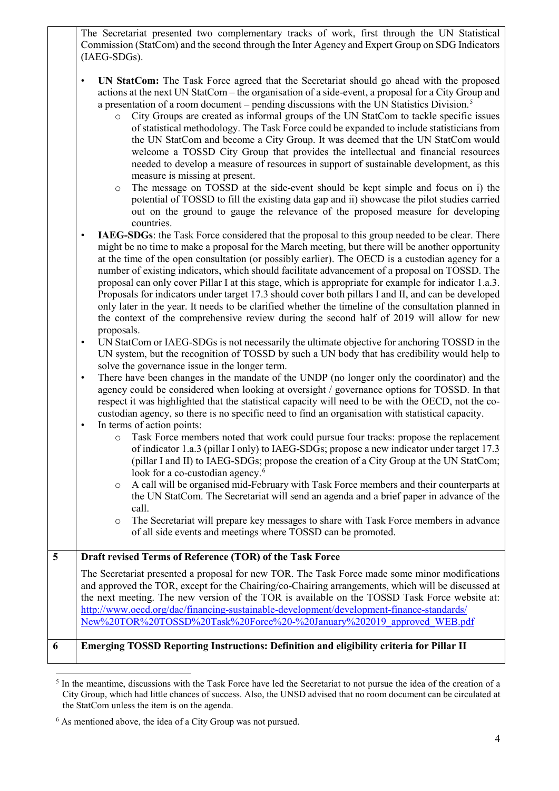The Secretariat presented two complementary tracks of work, first through the UN Statistical Commission (StatCom) and the second through the Inter Agency and Expert Group on SDG Indicators (IAEG-SDGs).

- **UN StatCom:** The Task Force agreed that the Secretariat should go ahead with the proposed actions at the next UN StatCom – the organisation of a side-event, a proposal for a City Group and a presentation of a room document – pending discussions with the UN Statistics Division. [5](#page-3-0)
	- o City Groups are created as informal groups of the UN StatCom to tackle specific issues of statistical methodology. The Task Force could be expanded to include statisticians from the UN StatCom and become a City Group. It was deemed that the UN StatCom would welcome a TOSSD City Group that provides the intellectual and financial resources needed to develop a measure of resources in support of sustainable development, as this measure is missing at present.
	- o The message on TOSSD at the side-event should be kept simple and focus on i) the potential of TOSSD to fill the existing data gap and ii) showcase the pilot studies carried out on the ground to gauge the relevance of the proposed measure for developing countries.

**IAEG-SDGs**: the Task Force considered that the proposal to this group needed to be clear. There might be no time to make a proposal for the March meeting, but there will be another opportunity at the time of the open consultation (or possibly earlier). The OECD is a custodian agency for a number of existing indicators, which should facilitate advancement of a proposal on TOSSD. The proposal can only cover Pillar I at this stage, which is appropriate for example for indicator 1.a.3. Proposals for indicators under target 17.3 should cover both pillars I and II, and can be developed only later in the year. It needs to be clarified whether the timeline of the consultation planned in the context of the comprehensive review during the second half of 2019 will allow for new proposals.

• UN StatCom or IAEG-SDGs is not necessarily the ultimate objective for anchoring TOSSD in the UN system, but the recognition of TOSSD by such a UN body that has credibility would help to solve the governance issue in the longer term.

There have been changes in the mandate of the UNDP (no longer only the coordinator) and the agency could be considered when looking at oversight / governance options for TOSSD. In that respect it was highlighted that the statistical capacity will need to be with the OECD, not the cocustodian agency, so there is no specific need to find an organisation with statistical capacity.

- In terms of action points:
	- o Task Force members noted that work could pursue four tracks: propose the replacement of indicator 1.a.3 (pillar I only) to IAEG-SDGs; propose a new indicator under target 17.3 (pillar I and II) to IAEG-SDGs; propose the creation of a City Group at the UN StatCom; look for a co-custodian agency.<sup>[6](#page-3-1)</sup>
	- o A call will be organised mid-February with Task Force members and their counterparts at the UN StatCom. The Secretariat will send an agenda and a brief paper in advance of the call.
	- o The Secretariat will prepare key messages to share with Task Force members in advance of all side events and meetings where TOSSD can be promoted.

**5 Draft revised Terms of Reference (TOR) of the Task Force** The Secretariat presented a proposal for new TOR. The Task Force made some minor modifications and approved the TOR, except for the Chairing/co-Chairing arrangements, which will be discussed at the next meeting. The new version of the TOR is available on the TOSSD Task Force website at: [http://www.oecd.org/dac/financing-sustainable-development/development-finance-standards/](http://www.oecd.org/dac/financing-sustainable-development/development-finance-standards/New%20TOR%20TOSSD%20Task%20Force%20-%20January%202019_approved_WEB.pdf) [New%20TOR%20TOSSD%20Task%20Force%20-%20January%202019\\_approved\\_WEB.pdf](http://www.oecd.org/dac/financing-sustainable-development/development-finance-standards/New%20TOR%20TOSSD%20Task%20Force%20-%20January%202019_approved_WEB.pdf) **6 Emerging TOSSD Reporting Instructions: Definition and eligibility criteria for Pillar II**

<span id="page-3-0"></span><sup>&</sup>lt;sup>5</sup> In the meantime, discussions with the Task Force have led the Secretariat to not pursue the idea of the creation of a City Group, which had little chances of success. Also, the UNSD advised that no room document can be circulated at the StatCom unless the item is on the agenda.

<span id="page-3-1"></span><sup>6</sup> As mentioned above, the idea of a City Group was not pursued.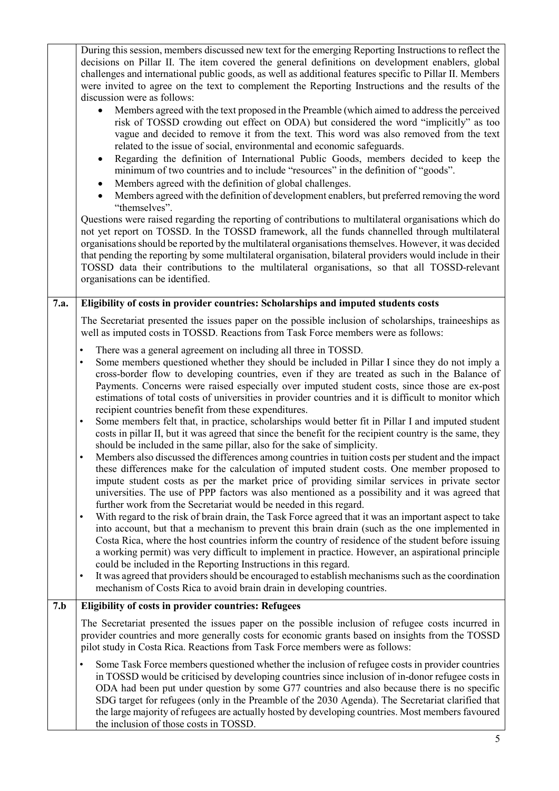|      | During this session, members discussed new text for the emerging Reporting Instructions to reflect the<br>decisions on Pillar II. The item covered the general definitions on development enablers, global<br>challenges and international public goods, as well as additional features specific to Pillar II. Members<br>were invited to agree on the text to complement the Reporting Instructions and the results of the<br>discussion were as follows:<br>Members agreed with the text proposed in the Preamble (which aimed to address the perceived<br>risk of TOSSD crowding out effect on ODA) but considered the word "implicitly" as too<br>vague and decided to remove it from the text. This word was also removed from the text<br>related to the issue of social, environmental and economic safeguards.<br>Regarding the definition of International Public Goods, members decided to keep the<br>minimum of two countries and to include "resources" in the definition of "goods".<br>Members agreed with the definition of global challenges.<br>Members agreed with the definition of development enablers, but preferred removing the word<br>"themselves".<br>Questions were raised regarding the reporting of contributions to multilateral organisations which do<br>not yet report on TOSSD. In the TOSSD framework, all the funds channelled through multilateral<br>organisations should be reported by the multilateral organisations themselves. However, it was decided<br>that pending the reporting by some multilateral organisation, bilateral providers would include in their<br>TOSSD data their contributions to the multilateral organisations, so that all TOSSD-relevant<br>organisations can be identified.                                                                                                                                                                                                                                                                                                   |
|------|-------------------------------------------------------------------------------------------------------------------------------------------------------------------------------------------------------------------------------------------------------------------------------------------------------------------------------------------------------------------------------------------------------------------------------------------------------------------------------------------------------------------------------------------------------------------------------------------------------------------------------------------------------------------------------------------------------------------------------------------------------------------------------------------------------------------------------------------------------------------------------------------------------------------------------------------------------------------------------------------------------------------------------------------------------------------------------------------------------------------------------------------------------------------------------------------------------------------------------------------------------------------------------------------------------------------------------------------------------------------------------------------------------------------------------------------------------------------------------------------------------------------------------------------------------------------------------------------------------------------------------------------------------------------------------------------------------------------------------------------------------------------------------------------------------------------------------------------------------------------------------------------------------------------------------------------------------------------------------------------------------------------------------------------------------|
| 7.a. | Eligibility of costs in provider countries: Scholarships and imputed students costs                                                                                                                                                                                                                                                                                                                                                                                                                                                                                                                                                                                                                                                                                                                                                                                                                                                                                                                                                                                                                                                                                                                                                                                                                                                                                                                                                                                                                                                                                                                                                                                                                                                                                                                                                                                                                                                                                                                                                                   |
|      | The Secretariat presented the issues paper on the possible inclusion of scholarships, traineeships as<br>well as imputed costs in TOSSD. Reactions from Task Force members were as follows:                                                                                                                                                                                                                                                                                                                                                                                                                                                                                                                                                                                                                                                                                                                                                                                                                                                                                                                                                                                                                                                                                                                                                                                                                                                                                                                                                                                                                                                                                                                                                                                                                                                                                                                                                                                                                                                           |
|      | There was a general agreement on including all three in TOSSD.<br>$\bullet$<br>Some members questioned whether they should be included in Pillar I since they do not imply a<br>$\bullet$<br>cross-border flow to developing countries, even if they are treated as such in the Balance of<br>Payments. Concerns were raised especially over imputed student costs, since those are ex-post<br>estimations of total costs of universities in provider countries and it is difficult to monitor which<br>recipient countries benefit from these expenditures.<br>Some members felt that, in practice, scholarships would better fit in Pillar I and imputed student<br>$\bullet$<br>costs in pillar II, but it was agreed that since the benefit for the recipient country is the same, they<br>should be included in the same pillar, also for the sake of simplicity.<br>Members also discussed the differences among countries in tuition costs per student and the impact<br>these differences make for the calculation of imputed student costs. One member proposed to<br>impute student costs as per the market price of providing similar services in private sector<br>universities. The use of PPP factors was also mentioned as a possibility and it was agreed that<br>further work from the Secretariat would be needed in this regard.<br>With regard to the risk of brain drain, the Task Force agreed that it was an important aspect to take<br>$\bullet$<br>into account, but that a mechanism to prevent this brain drain (such as the one implemented in<br>Costa Rica, where the host countries inform the country of residence of the student before issuing<br>a working permit) was very difficult to implement in practice. However, an aspirational principle<br>could be included in the Reporting Instructions in this regard.<br>It was agreed that providers should be encouraged to establish mechanisms such as the coordination<br>$\bullet$<br>mechanism of Costs Rica to avoid brain drain in developing countries. |
| 7.b  | <b>Eligibility of costs in provider countries: Refugees</b>                                                                                                                                                                                                                                                                                                                                                                                                                                                                                                                                                                                                                                                                                                                                                                                                                                                                                                                                                                                                                                                                                                                                                                                                                                                                                                                                                                                                                                                                                                                                                                                                                                                                                                                                                                                                                                                                                                                                                                                           |
|      | The Secretariat presented the issues paper on the possible inclusion of refugee costs incurred in<br>provider countries and more generally costs for economic grants based on insights from the TOSSD<br>pilot study in Costa Rica. Reactions from Task Force members were as follows:                                                                                                                                                                                                                                                                                                                                                                                                                                                                                                                                                                                                                                                                                                                                                                                                                                                                                                                                                                                                                                                                                                                                                                                                                                                                                                                                                                                                                                                                                                                                                                                                                                                                                                                                                                |
|      | Some Task Force members questioned whether the inclusion of refugee costs in provider countries<br>in TOSSD would be criticised by developing countries since inclusion of in-donor refugee costs in<br>ODA had been put under question by some G77 countries and also because there is no specific<br>SDG target for refugees (only in the Preamble of the 2030 Agenda). The Secretariat clarified that<br>the large majority of refugees are actually hosted by developing countries. Most members favoured<br>the inclusion of those costs in TOSSD.                                                                                                                                                                                                                                                                                                                                                                                                                                                                                                                                                                                                                                                                                                                                                                                                                                                                                                                                                                                                                                                                                                                                                                                                                                                                                                                                                                                                                                                                                               |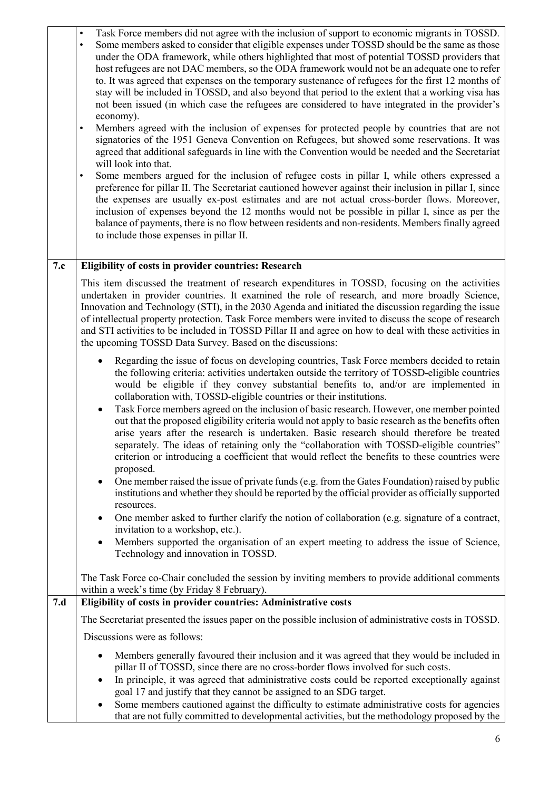|     | Task Force members did not agree with the inclusion of support to economic migrants in TOSSD.<br>$\bullet$<br>Some members asked to consider that eligible expenses under TOSSD should be the same as those<br>under the ODA framework, while others highlighted that most of potential TOSSD providers that<br>host refugees are not DAC members, so the ODA framework would not be an adequate one to refer<br>to. It was agreed that expenses on the temporary sustenance of refugees for the first 12 months of<br>stay will be included in TOSSD, and also beyond that period to the extent that a working visa has<br>not been issued (in which case the refugees are considered to have integrated in the provider's<br>economy).<br>Members agreed with the inclusion of expenses for protected people by countries that are not<br>$\bullet$<br>signatories of the 1951 Geneva Convention on Refugees, but showed some reservations. It was<br>agreed that additional safeguards in line with the Convention would be needed and the Secretariat<br>will look into that.<br>Some members argued for the inclusion of refugee costs in pillar I, while others expressed a<br>$\bullet$<br>preference for pillar II. The Secretariat cautioned however against their inclusion in pillar I, since<br>the expenses are usually ex-post estimates and are not actual cross-border flows. Moreover,<br>inclusion of expenses beyond the 12 months would not be possible in pillar I, since as per the<br>balance of payments, there is no flow between residents and non-residents. Members finally agreed<br>to include those expenses in pillar II. |
|-----|-----------------------------------------------------------------------------------------------------------------------------------------------------------------------------------------------------------------------------------------------------------------------------------------------------------------------------------------------------------------------------------------------------------------------------------------------------------------------------------------------------------------------------------------------------------------------------------------------------------------------------------------------------------------------------------------------------------------------------------------------------------------------------------------------------------------------------------------------------------------------------------------------------------------------------------------------------------------------------------------------------------------------------------------------------------------------------------------------------------------------------------------------------------------------------------------------------------------------------------------------------------------------------------------------------------------------------------------------------------------------------------------------------------------------------------------------------------------------------------------------------------------------------------------------------------------------------------------------------------------------------------------------------------|
| 7.c | Eligibility of costs in provider countries: Research                                                                                                                                                                                                                                                                                                                                                                                                                                                                                                                                                                                                                                                                                                                                                                                                                                                                                                                                                                                                                                                                                                                                                                                                                                                                                                                                                                                                                                                                                                                                                                                                      |
|     | This item discussed the treatment of research expenditures in TOSSD, focusing on the activities<br>undertaken in provider countries. It examined the role of research, and more broadly Science,<br>Innovation and Technology (STI), in the 2030 Agenda and initiated the discussion regarding the issue<br>of intellectual property protection. Task Force members were invited to discuss the scope of research<br>and STI activities to be included in TOSSD Pillar II and agree on how to deal with these activities in<br>the upcoming TOSSD Data Survey. Based on the discussions:                                                                                                                                                                                                                                                                                                                                                                                                                                                                                                                                                                                                                                                                                                                                                                                                                                                                                                                                                                                                                                                                  |
|     | Regarding the issue of focus on developing countries, Task Force members decided to retain<br>the following criteria: activities undertaken outside the territory of TOSSD-eligible countries<br>would be eligible if they convey substantial benefits to, and/or are implemented in<br>collaboration with, TOSSD-eligible countries or their institutions.<br>Task Force members agreed on the inclusion of basic research. However, one member pointed<br>out that the proposed eligibility criteria would not apply to basic research as the benefits often<br>arise years after the research is undertaken. Basic research should therefore be treated<br>separately. The ideas of retaining only the "collaboration with TOSSD-eligible countries"<br>criterion or introducing a coefficient that would reflect the benefits to these countries were<br>proposed.<br>One member raised the issue of private funds (e.g. from the Gates Foundation) raised by public<br>٠<br>institutions and whether they should be reported by the official provider as officially supported<br>resources.<br>One member asked to further clarify the notion of collaboration (e.g. signature of a contract,<br>invitation to a workshop, etc.).<br>Members supported the organisation of an expert meeting to address the issue of Science,<br>Technology and innovation in TOSSD.<br>The Task Force co-Chair concluded the session by inviting members to provide additional comments                                                                                                                                                                             |
|     | within a week's time (by Friday 8 February).                                                                                                                                                                                                                                                                                                                                                                                                                                                                                                                                                                                                                                                                                                                                                                                                                                                                                                                                                                                                                                                                                                                                                                                                                                                                                                                                                                                                                                                                                                                                                                                                              |
| 7.d | Eligibility of costs in provider countries: Administrative costs                                                                                                                                                                                                                                                                                                                                                                                                                                                                                                                                                                                                                                                                                                                                                                                                                                                                                                                                                                                                                                                                                                                                                                                                                                                                                                                                                                                                                                                                                                                                                                                          |
|     | The Secretariat presented the issues paper on the possible inclusion of administrative costs in TOSSD.                                                                                                                                                                                                                                                                                                                                                                                                                                                                                                                                                                                                                                                                                                                                                                                                                                                                                                                                                                                                                                                                                                                                                                                                                                                                                                                                                                                                                                                                                                                                                    |
|     | Discussions were as follows:                                                                                                                                                                                                                                                                                                                                                                                                                                                                                                                                                                                                                                                                                                                                                                                                                                                                                                                                                                                                                                                                                                                                                                                                                                                                                                                                                                                                                                                                                                                                                                                                                              |
|     | Members generally favoured their inclusion and it was agreed that they would be included in<br>pillar II of TOSSD, since there are no cross-border flows involved for such costs.<br>In principle, it was agreed that administrative costs could be reported exceptionally against<br>goal 17 and justify that they cannot be assigned to an SDG target.<br>Some members cautioned against the difficulty to estimate administrative costs for agencies<br>that are not fully committed to developmental activities, but the methodology proposed by the                                                                                                                                                                                                                                                                                                                                                                                                                                                                                                                                                                                                                                                                                                                                                                                                                                                                                                                                                                                                                                                                                                  |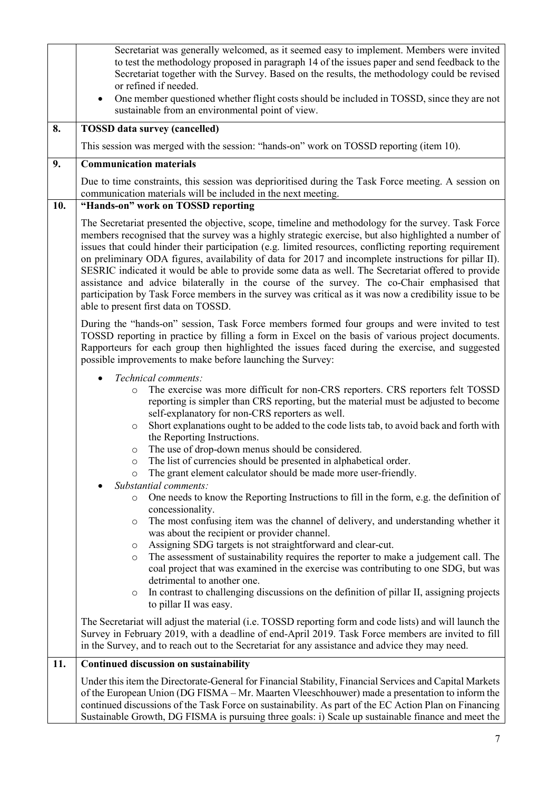|     | Secretariat was generally welcomed, as it seemed easy to implement. Members were invited<br>to test the methodology proposed in paragraph 14 of the issues paper and send feedback to the<br>Secretariat together with the Survey. Based on the results, the methodology could be revised<br>or refined if needed.<br>One member questioned whether flight costs should be included in TOSSD, since they are not<br>$\bullet$<br>sustainable from an environmental point of view.                                                                                                                                                                                                                                                                                                                                                                                                                                                   |
|-----|-------------------------------------------------------------------------------------------------------------------------------------------------------------------------------------------------------------------------------------------------------------------------------------------------------------------------------------------------------------------------------------------------------------------------------------------------------------------------------------------------------------------------------------------------------------------------------------------------------------------------------------------------------------------------------------------------------------------------------------------------------------------------------------------------------------------------------------------------------------------------------------------------------------------------------------|
| 8.  | <b>TOSSD</b> data survey (cancelled)                                                                                                                                                                                                                                                                                                                                                                                                                                                                                                                                                                                                                                                                                                                                                                                                                                                                                                |
|     | This session was merged with the session: "hands-on" work on TOSSD reporting (item 10).                                                                                                                                                                                                                                                                                                                                                                                                                                                                                                                                                                                                                                                                                                                                                                                                                                             |
| 9.  | <b>Communication materials</b>                                                                                                                                                                                                                                                                                                                                                                                                                                                                                                                                                                                                                                                                                                                                                                                                                                                                                                      |
|     | Due to time constraints, this session was deprioritised during the Task Force meeting. A session on<br>communication materials will be included in the next meeting.                                                                                                                                                                                                                                                                                                                                                                                                                                                                                                                                                                                                                                                                                                                                                                |
| 10. | "Hands-on" work on TOSSD reporting                                                                                                                                                                                                                                                                                                                                                                                                                                                                                                                                                                                                                                                                                                                                                                                                                                                                                                  |
|     | The Secretariat presented the objective, scope, timeline and methodology for the survey. Task Force<br>members recognised that the survey was a highly strategic exercise, but also highlighted a number of<br>issues that could hinder their participation (e.g. limited resources, conflicting reporting requirement<br>on preliminary ODA figures, availability of data for 2017 and incomplete instructions for pillar II).<br>SESRIC indicated it would be able to provide some data as well. The Secretariat offered to provide<br>assistance and advice bilaterally in the course of the survey. The co-Chair emphasised that<br>participation by Task Force members in the survey was critical as it was now a credibility issue to be<br>able to present first data on TOSSD.                                                                                                                                              |
|     | During the "hands-on" session, Task Force members formed four groups and were invited to test<br>TOSSD reporting in practice by filling a form in Excel on the basis of various project documents.<br>Rapporteurs for each group then highlighted the issues faced during the exercise, and suggested<br>possible improvements to make before launching the Survey:                                                                                                                                                                                                                                                                                                                                                                                                                                                                                                                                                                 |
|     | Technical comments:<br>The exercise was more difficult for non-CRS reporters. CRS reporters felt TOSSD<br>$\circ$<br>reporting is simpler than CRS reporting, but the material must be adjusted to become<br>self-explanatory for non-CRS reporters as well.<br>Short explanations ought to be added to the code lists tab, to avoid back and forth with<br>$\circ$<br>the Reporting Instructions.<br>The use of drop-down menus should be considered.<br>$\circ$<br>The list of currencies should be presented in alphabetical order.<br>$\circ$<br>The grant element calculator should be made more user-friendly.<br>$\circ$<br>Substantial comments:<br>One needs to know the Reporting Instructions to fill in the form, e.g. the definition of<br>$\circ$<br>concessionality.<br>The most confusing item was the channel of delivery, and understanding whether it<br>$\circ$<br>was about the recipient or provider channel. |
|     | Assigning SDG targets is not straightforward and clear-cut.<br>$\circ$<br>The assessment of sustainability requires the reporter to make a judgement call. The<br>$\circ$<br>coal project that was examined in the exercise was contributing to one SDG, but was<br>detrimental to another one.<br>In contrast to challenging discussions on the definition of pillar II, assigning projects<br>$\circ$<br>to pillar II was easy.                                                                                                                                                                                                                                                                                                                                                                                                                                                                                                   |
|     | The Secretariat will adjust the material (i.e. TOSSD reporting form and code lists) and will launch the<br>Survey in February 2019, with a deadline of end-April 2019. Task Force members are invited to fill<br>in the Survey, and to reach out to the Secretariat for any assistance and advice they may need.                                                                                                                                                                                                                                                                                                                                                                                                                                                                                                                                                                                                                    |
| 11. | <b>Continued discussion on sustainability</b>                                                                                                                                                                                                                                                                                                                                                                                                                                                                                                                                                                                                                                                                                                                                                                                                                                                                                       |
|     | Under this item the Directorate-General for Financial Stability, Financial Services and Capital Markets<br>of the European Union (DG FISMA - Mr. Maarten Vleeschhouwer) made a presentation to inform the<br>continued discussions of the Task Force on sustainability. As part of the EC Action Plan on Financing<br>Sustainable Growth, DG FISMA is pursuing three goals: i) Scale up sustainable finance and meet the                                                                                                                                                                                                                                                                                                                                                                                                                                                                                                            |